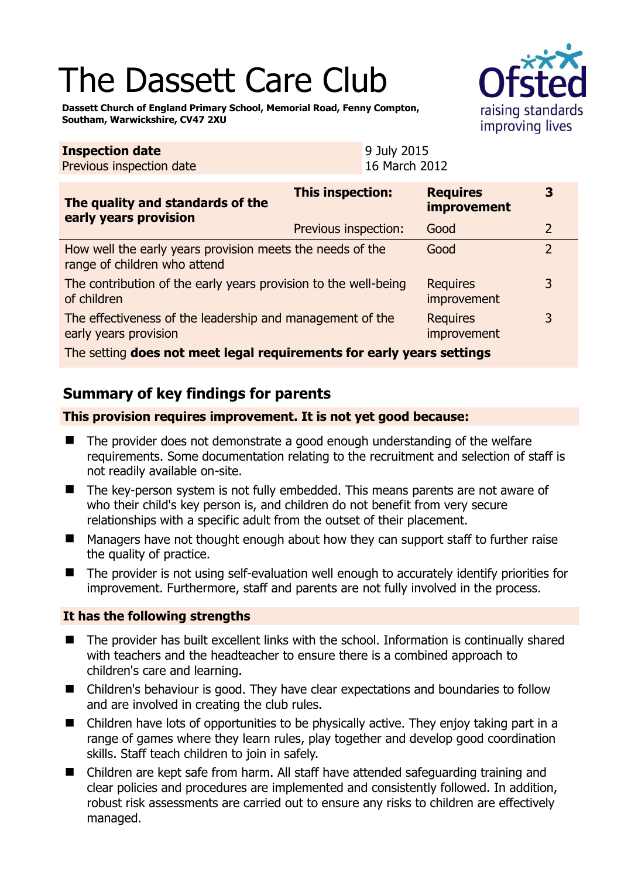# The Dassett Care Club

**Inspection date**



**Dassett Church of England Primary School, Memorial Road, Fenny Compton, Southam, Warwickshire, CV47 2XU** 

| <b>Inspection date</b><br>Previous inspection date                                        |                      | 9 July 2015<br>16 March 2012 |                                       |                |  |
|-------------------------------------------------------------------------------------------|----------------------|------------------------------|---------------------------------------|----------------|--|
| The quality and standards of the<br>early years provision                                 | This inspection:     |                              | <b>Requires</b><br><b>improvement</b> | 3              |  |
|                                                                                           | Previous inspection: |                              | Good                                  | 2              |  |
| How well the early years provision meets the needs of the<br>range of children who attend |                      |                              | Good                                  | $\overline{2}$ |  |
| The contribution of the early years provision to the well-being<br>of children            |                      |                              | <b>Requires</b><br>improvement        | 3              |  |
| The effectiveness of the leadership and management of the<br>early years provision        |                      |                              | <b>Requires</b><br>improvement        | 3              |  |
| The cetting does not meet legal requirements for early vears settings                     |                      |                              |                                       |                |  |

The setting **does not meet legal requirements for early years settings**

# **Summary of key findings for parents**

## **This provision requires improvement. It is not yet good because:**

- The provider does not demonstrate a good enough understanding of the welfare requirements. Some documentation relating to the recruitment and selection of staff is not readily available on-site.
- The key-person system is not fully embedded. This means parents are not aware of who their child's key person is, and children do not benefit from very secure relationships with a specific adult from the outset of their placement.
- Managers have not thought enough about how they can support staff to further raise the quality of practice.
- The provider is not using self-evaluation well enough to accurately identify priorities for improvement. Furthermore, staff and parents are not fully involved in the process.

## **It has the following strengths**

- The provider has built excellent links with the school. Information is continually shared with teachers and the headteacher to ensure there is a combined approach to children's care and learning.
- Children's behaviour is good. They have clear expectations and boundaries to follow and are involved in creating the club rules.
- Children have lots of opportunities to be physically active. They enjoy taking part in a range of games where they learn rules, play together and develop good coordination skills. Staff teach children to join in safely.
- Children are kept safe from harm. All staff have attended safeguarding training and clear policies and procedures are implemented and consistently followed. In addition, robust risk assessments are carried out to ensure any risks to children are effectively managed.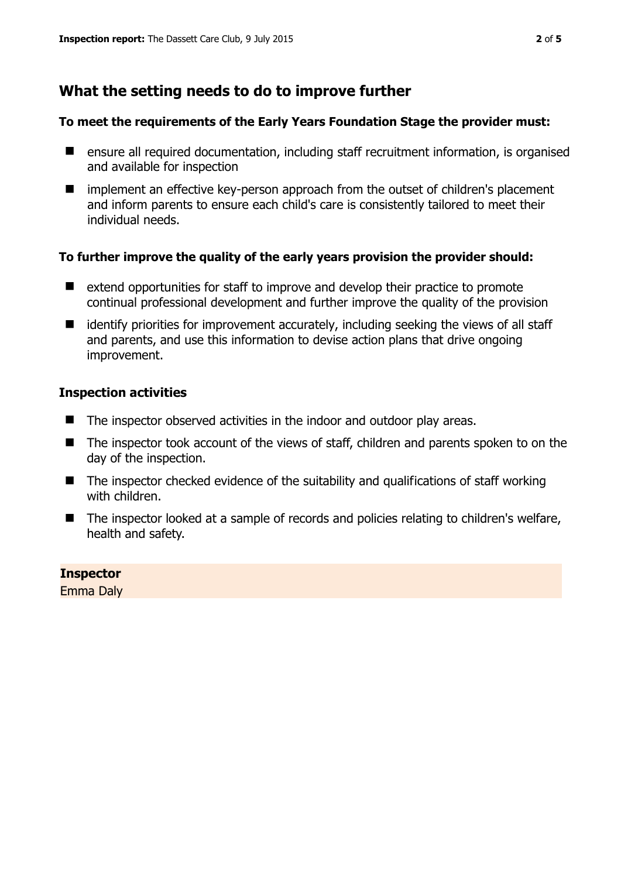## **What the setting needs to do to improve further**

#### **To meet the requirements of the Early Years Foundation Stage the provider must:**

- ensure all required documentation, including staff recruitment information, is organised and available for inspection
- implement an effective key-person approach from the outset of children's placement and inform parents to ensure each child's care is consistently tailored to meet their individual needs.

#### **To further improve the quality of the early years provision the provider should:**

- extend opportunities for staff to improve and develop their practice to promote continual professional development and further improve the quality of the provision
- identify priorities for improvement accurately, including seeking the views of all staff and parents, and use this information to devise action plans that drive ongoing improvement.

#### **Inspection activities**

- The inspector observed activities in the indoor and outdoor play areas.
- The inspector took account of the views of staff, children and parents spoken to on the day of the inspection.
- $\blacksquare$  The inspector checked evidence of the suitability and qualifications of staff working with children.
- The inspector looked at a sample of records and policies relating to children's welfare, health and safety.

## **Inspector**

Emma Daly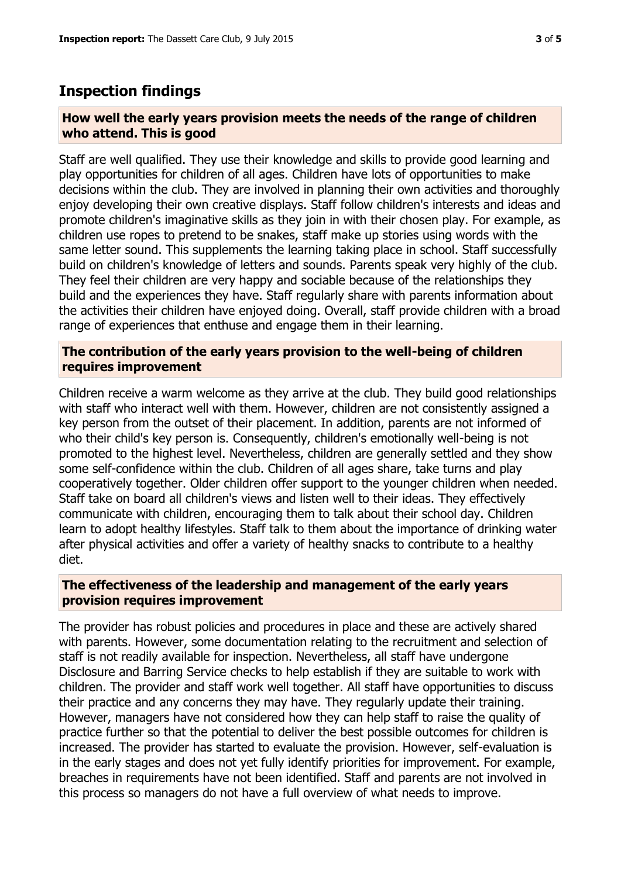## **Inspection findings**

#### **How well the early years provision meets the needs of the range of children who attend. This is good**

Staff are well qualified. They use their knowledge and skills to provide good learning and play opportunities for children of all ages. Children have lots of opportunities to make decisions within the club. They are involved in planning their own activities and thoroughly enjoy developing their own creative displays. Staff follow children's interests and ideas and promote children's imaginative skills as they join in with their chosen play. For example, as children use ropes to pretend to be snakes, staff make up stories using words with the same letter sound. This supplements the learning taking place in school. Staff successfully build on children's knowledge of letters and sounds. Parents speak very highly of the club. They feel their children are very happy and sociable because of the relationships they build and the experiences they have. Staff regularly share with parents information about the activities their children have enjoyed doing. Overall, staff provide children with a broad range of experiences that enthuse and engage them in their learning.

#### **The contribution of the early years provision to the well-being of children requires improvement**

Children receive a warm welcome as they arrive at the club. They build good relationships with staff who interact well with them. However, children are not consistently assigned a key person from the outset of their placement. In addition, parents are not informed of who their child's key person is. Consequently, children's emotionally well-being is not promoted to the highest level. Nevertheless, children are generally settled and they show some self-confidence within the club. Children of all ages share, take turns and play cooperatively together. Older children offer support to the younger children when needed. Staff take on board all children's views and listen well to their ideas. They effectively communicate with children, encouraging them to talk about their school day. Children learn to adopt healthy lifestyles. Staff talk to them about the importance of drinking water after physical activities and offer a variety of healthy snacks to contribute to a healthy diet.

#### **The effectiveness of the leadership and management of the early years provision requires improvement**

The provider has robust policies and procedures in place and these are actively shared with parents. However, some documentation relating to the recruitment and selection of staff is not readily available for inspection. Nevertheless, all staff have undergone Disclosure and Barring Service checks to help establish if they are suitable to work with children. The provider and staff work well together. All staff have opportunities to discuss their practice and any concerns they may have. They regularly update their training. However, managers have not considered how they can help staff to raise the quality of practice further so that the potential to deliver the best possible outcomes for children is increased. The provider has started to evaluate the provision. However, self-evaluation is in the early stages and does not yet fully identify priorities for improvement. For example, breaches in requirements have not been identified. Staff and parents are not involved in this process so managers do not have a full overview of what needs to improve.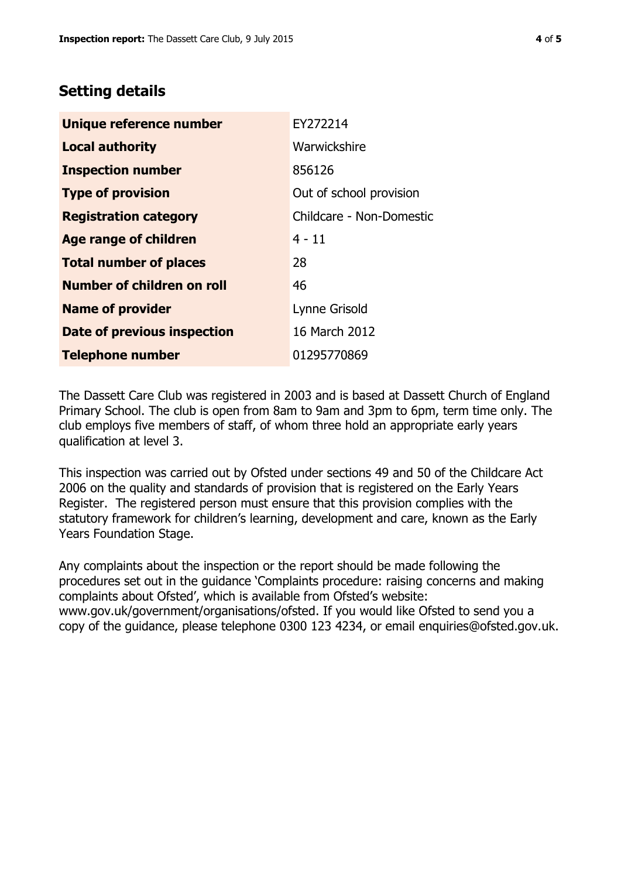# **Setting details**

| <b>Unique reference number</b> | EY272214                 |  |  |
|--------------------------------|--------------------------|--|--|
| <b>Local authority</b>         | Warwickshire             |  |  |
| <b>Inspection number</b>       | 856126                   |  |  |
| <b>Type of provision</b>       | Out of school provision  |  |  |
| <b>Registration category</b>   | Childcare - Non-Domestic |  |  |
| <b>Age range of children</b>   | $4 - 11$                 |  |  |
| <b>Total number of places</b>  | 28                       |  |  |
| Number of children on roll     | 46                       |  |  |
| <b>Name of provider</b>        | Lynne Grisold            |  |  |
| Date of previous inspection    | 16 March 2012            |  |  |
| <b>Telephone number</b>        | 01295770869              |  |  |

The Dassett Care Club was registered in 2003 and is based at Dassett Church of England Primary School. The club is open from 8am to 9am and 3pm to 6pm, term time only. The club employs five members of staff, of whom three hold an appropriate early years qualification at level 3.

This inspection was carried out by Ofsted under sections 49 and 50 of the Childcare Act 2006 on the quality and standards of provision that is registered on the Early Years Register. The registered person must ensure that this provision complies with the statutory framework for children's learning, development and care, known as the Early Years Foundation Stage.

Any complaints about the inspection or the report should be made following the procedures set out in the guidance 'Complaints procedure: raising concerns and making complaints about Ofsted', which is available from Ofsted's website: www.gov.uk/government/organisations/ofsted. If you would like Ofsted to send you a copy of the guidance, please telephone 0300 123 4234, or email enquiries@ofsted.gov.uk.